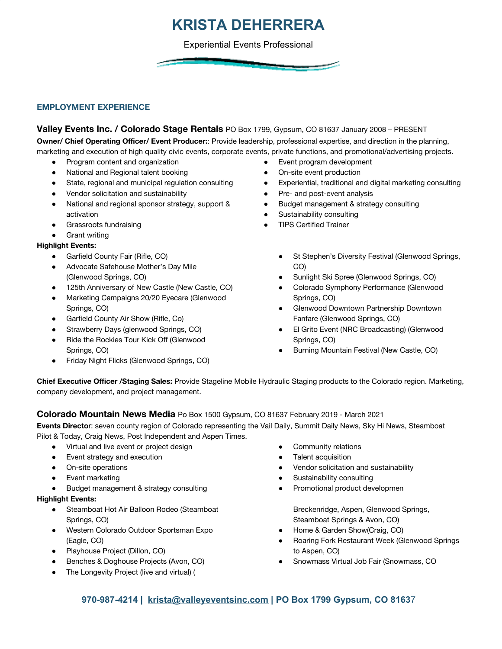## **KRISTA DEHERRERA**

Experiential Events Professional

### **EMPLOYMENT EXPERIENCE**

#### **Valley Events Inc. / Colorado Stage Rentals** PO Box 1799, Gypsum, CO 81637 January 2008 – PRESENT

**Owner/ Chief Operating Officer/ Event Producer:**: Provide leadership, professional expertise, and direction in the planning, marketing and execution of high quality civic events, corporate events, private functions, and promotional/advertising projects.

- Program content and organization
- National and Regional talent booking
- State, regional and municipal regulation consulting
- Vendor solicitation and sustainability
- National and regional sponsor strategy, support & activation
- Grassroots fundraising
- **Grant writing**

#### **Highlight Events:**

- Garfield County Fair (Rifle, CO)
- Advocate Safehouse Mother's Day Mile (Glenwood Springs, CO)
- 125th Anniversary of New Castle (New Castle, CO)
- Marketing Campaigns 20/20 Eyecare (Glenwood Springs, CO)
- Garfield County Air Show (Rifle, Co)
- Strawberry Days (glenwood Springs, CO)
- Ride the Rockies Tour Kick Off (Glenwood Springs, CO)
- Friday Night Flicks (Glenwood Springs, CO)
- Event program development
- On-site event production
- Experiential, traditional and digital marketing consulting
- Pre- and post-event analysis
- Budget management & strategy consulting
- Sustainability consulting
- **TIPS Certified Trainer** 
	- St Stephen's Diversity Festival (Glenwood Springs, CO)
	- Sunlight Ski Spree (Glenwood Springs, CO)
	- Colorado Symphony Performance (Glenwood Springs, CO)
	- Glenwood Downtown Partnership Downtown Fanfare (Glenwood Springs, CO)
	- El Grito Event (NRC Broadcasting) (Glenwood Springs, CO)
	- Burning Mountain Festival (New Castle, CO)

**Chief Executive Officer /Staging Sales:** Provide Stageline Mobile Hydraulic Staging products to the Colorado region. Marketing, company development, and project management.

### **Colorado Mountain News Media** Po Box 1500 Gypsum, CO 81637 February 2019 - March 2021

**Events Directo**r: seven county region of Colorado representing the Vail Daily, Summit Daily News, Sky Hi News, Steamboat Pilot & Today, Craig News, Post Independent and Aspen Times.

- Virtual and live event or project design
- Event strategy and execution
- On-site operations
- **Event marketing**
- Budget management & strategy consulting

#### **Highlight Events:**

- Steamboat Hot Air Balloon Rodeo (Steamboat Springs, CO)
- Western Colorado Outdoor Sportsman Expo (Eagle, CO)
- Playhouse Project (Dillon, CO)
- Benches & Doghouse Projects (Avon, CO)
- The Longevity Project (live and virtual) (
- Community relations
- **Talent acquisition**
- Vendor solicitation and sustainability
- Sustainability consulting
- Promotional product developmen

Breckenridge, Aspen, Glenwood Springs, Steamboat Springs & Avon, CO)

- Home & Garden Show(Craig, CO)
- Roaring Fork Restaurant Week (Glenwood Springs to Aspen, CO)
- Snowmass Virtual Job Fair (Snowmass, CO

### **970-987-4214 | [krista@valleyeventsinc.com](mailto:krista@valleyeventsinc.com) | PO Box 1799 Gypsum, CO 8163**7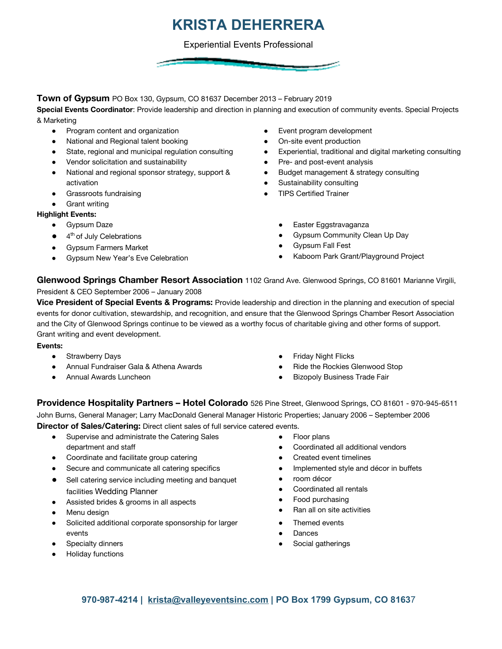# **KRISTA DEHERRERA**

Experiential Events Professional

**Town of Gypsum** PO Box 130, Gypsum, CO 81637 December 2013 – February 2019

**Special Events Coordinator**: Provide leadership and direction in planning and execution of community events. Special Projects & Marketing

- Program content and organization
- National and Regional talent booking
- State, regional and municipal regulation consulting
- Vendor solicitation and sustainability
- National and regional sponsor strategy, support & activation
- Grassroots fundraising
- **Grant writing**

### **Highlight Events:**

- Gypsum Daze
- 4<sup>th</sup> of July Celebrations
- Gypsum Farmers Market
- Gypsum New Year's Eve Celebration
- Event program development
- On-site event production
- Experiential, traditional and digital marketing consulting
- Pre- and post-event analysis
- Budget management & strategy consulting
- Sustainability consulting
- **•** TIPS Certified Trainer
	- Easter Eggstravaganza
	- Gypsum Community Clean Up Day
	- Gypsum Fall Fest
	- Kaboom Park Grant/Playground Project

**Glenwood Springs Chamber Resort Association** 1102 Grand Ave. Glenwood Springs, CO 81601 Marianne Virgili, President & CEO September 2006 – January 2008

**Vice President of Special Events & Programs:** Provide leadership and direction in the planning and execution of special events for donor cultivation, stewardship, and recognition, and ensure that the Glenwood Springs Chamber Resort Association and the City of Glenwood Springs continue to be viewed as a worthy focus of charitable giving and other forms of support. Grant writing and event development.

#### **Events:**

- Strawberry Days
- Annual Fundraiser Gala & Athena Awards
- Annual Awards Luncheon
- **Friday Night Flicks**
- Ride the Rockies Glenwood Stop
- **Bizopoly Business Trade Fair**

**Providence Hospitality Partners – Hotel Colorado** 526 Pine Street, Glenwood Springs, CO 81601 - 970-945-6511 John Burns, General Manager; Larry MacDonald General Manager Historic Properties; January 2006 – September 2006 **Director of Sales/Catering:** Direct client sales of full service catered events.

- Supervise and administrate the Catering Sales department and staff
- Coordinate and facilitate group catering
- Secure and communicate all catering specifics
- Sell catering service including meeting and banquet facilities Wedding Planner
- Assisted brides & grooms in all aspects
- Menu design
- Solicited additional corporate sponsorship for larger events
- Specialty dinners
- **Holiday functions**
- **Floor plans**
- Coordinated all additional vendors
- Created event timelines
- Implemented style and décor in buffets
- room décor
- Coordinated all rentals
- Food purchasing
- Ran all on site activities
- Themed events
- **Dances**
- Social gatherings